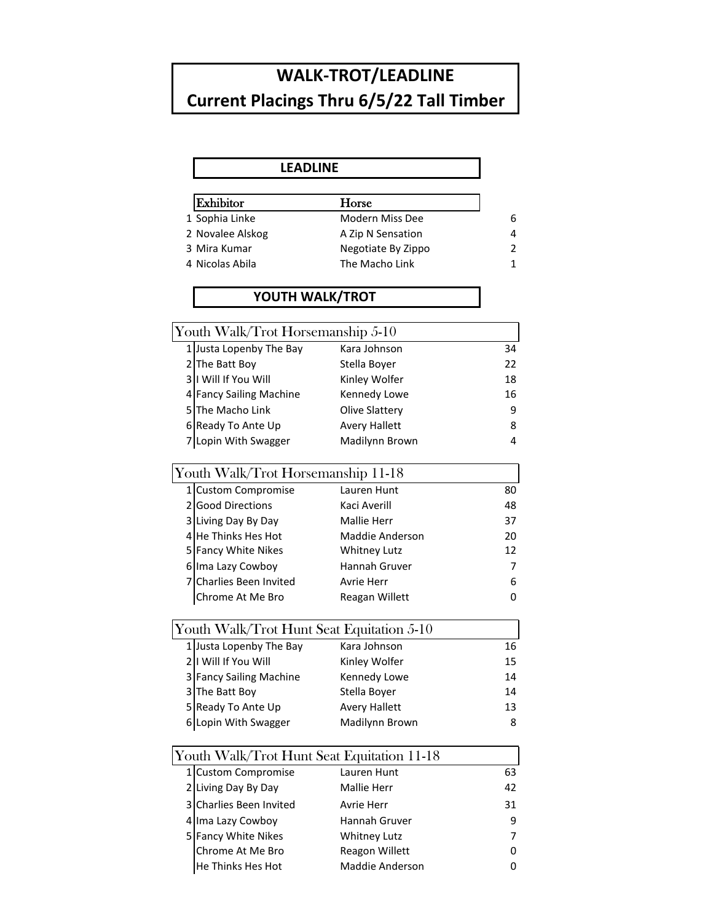## **WALK-TROT/LEADLINE Current Placings Thru 6/5/22 Tall Timber**

| <b>LEADLINE</b>                            |                       |             |
|--------------------------------------------|-----------------------|-------------|
|                                            |                       |             |
| Exhibitor                                  | Horse                 |             |
| 1 Sophia Linke                             | Modern Miss Dee       | 6           |
| 2 Novalee Alskog                           | A Zip N Sensation     | 4           |
| 3 Mira Kumar                               | Negotiate By Zippo    | 2           |
| 4 Nicolas Abila                            | The Macho Link        | $\mathbf 1$ |
| YOUTH WALK/TROT                            |                       |             |
|                                            |                       |             |
| Youth Walk/Trot Horsemanship 5-10          |                       |             |
| 1 Justa Lopenby The Bay                    | Kara Johnson          | 34          |
| 2 The Batt Boy                             | Stella Boyer          | 22          |
| 3   I Will If You Will                     | Kinley Wolfer         | 18          |
| 4 Fancy Sailing Machine                    | Kennedy Lowe          | 16          |
| 5 The Macho Link                           | <b>Olive Slattery</b> | 9           |
| 6 Ready To Ante Up                         | <b>Avery Hallett</b>  | 8           |
| 7 Lopin With Swagger                       | Madilynn Brown        | 4           |
| Youth Walk/Trot Horsemanship 11-18         |                       |             |
| 1 Custom Compromise                        | Lauren Hunt           | 80          |
| 2 Good Directions                          | Kaci Averill          | 48          |
| 3 Living Day By Day                        | <b>Mallie Herr</b>    | 37          |
| 4 He Thinks Hes Hot                        | Maddie Anderson       | 20          |
| 5 Fancy White Nikes                        | <b>Whitney Lutz</b>   | 12          |
| 6 Ima Lazy Cowboy                          | Hannah Gruver         | 7           |
| 7 Charlies Been Invited                    | Avrie Herr            | 6           |
| Chrome At Me Bro                           | Reagan Willett        | 0           |
| Youth Walk/Trot Hunt Seat Equitation 5-10  |                       |             |
| 1 Justa Lopenby The Bay                    | Kara Johnson          | 16          |
| 2   I Will If You Will                     | Kinley Wolfer         | 15          |
| 3 Fancy Sailing Machine                    | Kennedy Lowe          | 14          |
| 3 The Batt Boy                             | Stella Boyer          | 14          |
| 5 Ready To Ante Up                         | <b>Avery Hallett</b>  | 13          |
| 6 Lopin With Swagger                       | Madilynn Brown        | 8           |
| Youth Walk/Trot Hunt Seat Equitation 11-18 |                       |             |
| 1 Custom Compromise                        | Lauren Hunt           | 63          |
| 2 Living Day By Day                        | Mallie Herr           | 42          |
| 3 Charlies Been Invited                    | Avrie Herr            | 31          |
| 4 Ima Lazy Cowboy                          | Hannah Gruver         | 9           |
| 5 Fancy White Nikes                        | <b>Whitney Lutz</b>   | 7           |
| Chrome At Me Bro                           | Reagon Willett        | 0           |

He Thinks Hes Hot **Maddie Anderson** 0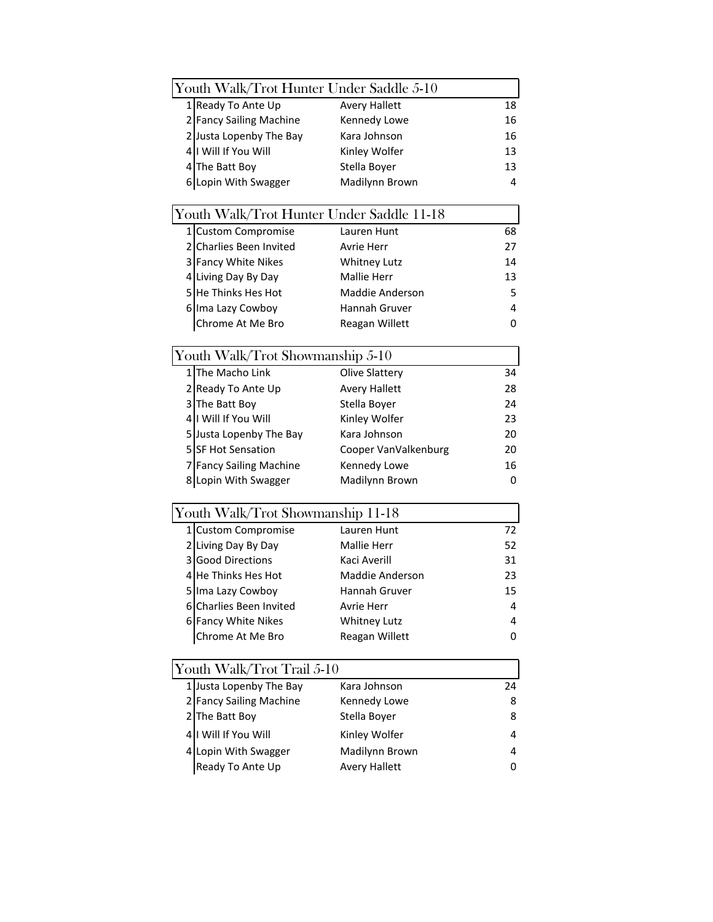|    | Youth Walk/Trot Hunter Under Saddle 5-10  |                        |                |
|----|-------------------------------------------|------------------------|----------------|
|    | 1 Ready To Ante Up                        | <b>Avery Hallett</b>   | 18             |
|    | 2 Fancy Sailing Machine                   | Kennedy Lowe           | 16             |
|    | 2 Justa Lopenby The Bay                   | Kara Johnson           | 16             |
|    | 4   Will If You Will                      | Kinley Wolfer          | 13             |
|    | 4 The Batt Boy                            | Stella Boyer           | 13             |
|    | 6 Lopin With Swagger                      | Madilynn Brown         | $\overline{4}$ |
|    | Youth Walk/Trot Hunter Under Saddle 11-18 |                        |                |
|    | 1 Custom Compromise                       | Lauren Hunt            | 68             |
|    | 2 Charlies Been Invited                   | Avrie Herr             | 27             |
|    | 3 Fancy White Nikes                       | <b>Whitney Lutz</b>    | 14             |
|    | 4 Living Day By Day                       | Mallie Herr            | 13             |
|    | 5 He Thinks Hes Hot                       | <b>Maddie Anderson</b> | 5              |
|    | 6 Ima Lazy Cowboy                         | Hannah Gruver          | 4              |
|    | Chrome At Me Bro                          | Reagan Willett         | 0              |
|    |                                           |                        |                |
|    | Youth Walk/Trot Showmanship 5-10          |                        |                |
|    | 1 The Macho Link                          | Olive Slattery         | 34             |
|    | 2 Ready To Ante Up                        | <b>Avery Hallett</b>   | 28             |
|    | 3 The Batt Boy                            | Stella Boyer           | 24             |
|    | 4   Will If You Will                      | Kinley Wolfer          | 23             |
|    | 5 Justa Lopenby The Bay                   | Kara Johnson           | 20             |
|    | 5 SF Hot Sensation                        | Cooper VanValkenburg   | 20             |
|    | 7 Fancy Sailing Machine                   | Kennedy Lowe           | 16             |
|    | 8 Lopin With Swagger                      | Madilynn Brown         | 0              |
|    | Youth Walk/Trot Showmanship 11-18         |                        |                |
|    | 1 Custom Compromise                       | Lauren Hunt            | 72             |
|    | 2 Living Day By Day                       | <b>Mallie Herr</b>     | 52             |
|    | 3 Good Directions                         | Kaci Averill           | 31             |
|    | 4 He Thinks Hes Hot                       | <b>Maddie Anderson</b> | 23             |
|    | 5 Ima Lazy Cowboy                         | Hannah Gruver          | 15             |
|    | 6 Charlies Been Invited                   | <b>Avrie Herr</b>      | 4              |
|    | 6 Fancy White Nikes                       | <b>Whitney Lutz</b>    | 4              |
|    | Chrome At Me Bro                          | Reagan Willett         | 0              |
|    |                                           |                        |                |
|    | Youth Walk/Trot Trail 5-10                |                        |                |
|    | 1 Justa Lopenby The Bay                   | Kara Johnson           | 24             |
|    | 2 Fancy Sailing Machine                   | Kennedy Lowe           | 8              |
| 21 | The Batt Boy                              | Stella Boyer           | 8              |
| 41 | I Will If You Will                        | Kinley Wolfer          | 4              |
|    | 4 Lopin With Swagger                      | Madilynn Brown         | 4              |
|    | Ready To Ante Up                          | <b>Avery Hallett</b>   | 0              |
|    |                                           |                        |                |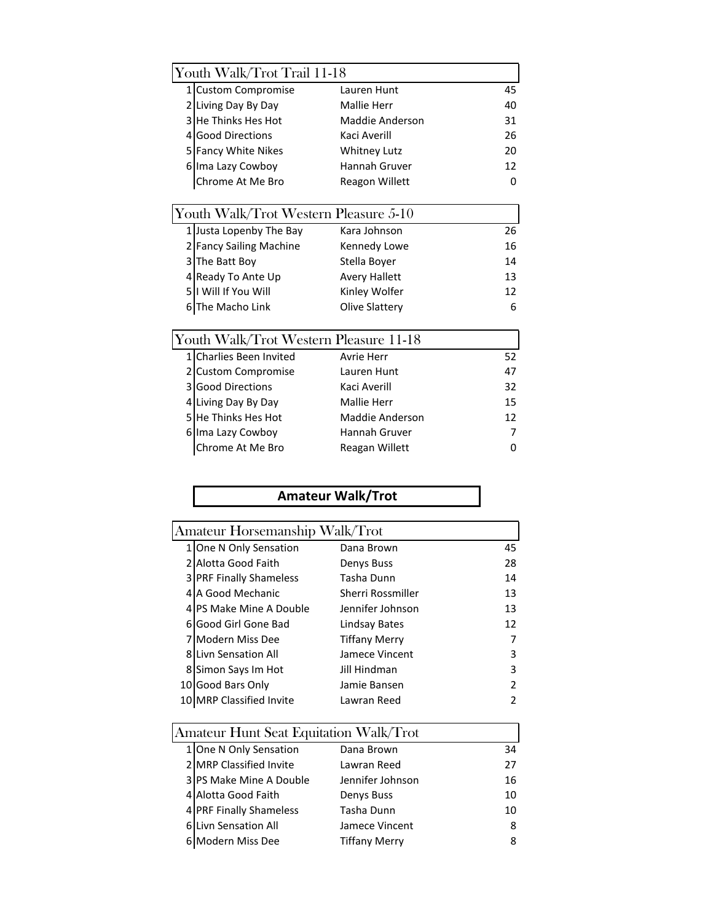| Youth Walk/Trot Trail 11-18            |                              |                        |    |  |
|----------------------------------------|------------------------------|------------------------|----|--|
|                                        | 1 Custom Compromise          | Lauren Hunt            | 45 |  |
|                                        | 2 Living Day By Day          | <b>Mallie Herr</b>     | 40 |  |
|                                        | 3 He Thinks Hes Hot          | <b>Maddie Anderson</b> | 31 |  |
| $\overline{4}$                         | <b>Good Directions</b>       | Kaci Averill           | 26 |  |
|                                        | 5 Fancy White Nikes          | <b>Whitney Lutz</b>    | 20 |  |
|                                        | 6 Ima Lazy Cowboy            | Hannah Gruver          | 12 |  |
|                                        | Chrome At Me Bro             | <b>Reagon Willett</b>  | 0  |  |
|                                        |                              |                        |    |  |
| Youth Walk/Trot Western Pleasure 5-10  |                              |                        |    |  |
|                                        | 1 Justa Lopenby The Bay      | Kara Johnson           | 26 |  |
| 21                                     | <b>Fancy Sailing Machine</b> | Kennedy Lowe           | 16 |  |
|                                        | 3 The Batt Boy               | Stella Boyer           | 14 |  |
|                                        | 4 Ready To Ante Up           | <b>Avery Hallett</b>   | 13 |  |
|                                        | 5   I Will If You Will       | Kinley Wolfer          | 12 |  |
|                                        | 6 The Macho Link             | Olive Slattery         | 6  |  |
|                                        |                              |                        |    |  |
| Youth Walk/Trot Western Pleasure 11-18 |                              |                        |    |  |
| 1                                      | <b>Charlies Been Invited</b> | Avrie Herr             | 52 |  |
| $\overline{2}$                         | <b>Custom Compromise</b>     | Lauren Hunt            | 47 |  |
| $\overline{3}$                         | <b>Good Directions</b>       | Kaci Averill           | 32 |  |
|                                        | 4 Living Day By Day          | <b>Mallie Herr</b>     | 15 |  |
|                                        | 5 He Thinks Hes Hot          | Maddie Anderson        | 12 |  |
|                                        | 6 Ima Lazy Cowboy            | Hannah Gruver          | 7  |  |
|                                        | Chrome At Me Bro             | Reagan Willett         | 0  |  |

## **Amateur Walk/Trot**

| Amateur Horsemanship Walk/Trot |                                |                      |    |
|--------------------------------|--------------------------------|----------------------|----|
|                                | One N Only Sensation           | Dana Brown           | 45 |
|                                | <b>Alotta Good Faith</b>       | Denys Buss           | 28 |
|                                | <b>3 PRF Finally Shameless</b> | Tasha Dunn           | 14 |
| 4                              | A Good Mechanic                | Sherri Rossmiller    | 13 |
|                                | 4 PS Make Mine A Double        | Jennifer Johnson     | 13 |
|                                | 6 Good Girl Gone Bad           | Lindsay Bates        | 12 |
|                                | Modern Miss Dee                | <b>Tiffany Merry</b> |    |
|                                | <b>8 Livn Sensation All</b>    | Jamece Vincent       | 3  |
|                                | 8 Simon Says Im Hot            | Jill Hindman         | 3  |
|                                | 10 Good Bars Only              | Jamie Bansen         | 2  |
|                                | MRP Classified Invite          | Lawran Reed          |    |
|                                |                                |                      |    |

| Amateur Hunt Seat Equitation Walk/Trot |                         |                      |    |  |
|----------------------------------------|-------------------------|----------------------|----|--|
|                                        | 1 One N Only Sensation  | Dana Brown           | 34 |  |
|                                        | 2 MRP Classified Invite | Lawran Reed          | 27 |  |
|                                        | 3 PS Make Mine A Double | Jennifer Johnson     | 16 |  |
|                                        | 4 Alotta Good Faith     | Denys Buss           | 10 |  |
|                                        | 4 PRF Finally Shameless | Tasha Dunn           | 10 |  |
|                                        | 6 Livn Sensation All    | Jamece Vincent       | 8  |  |
|                                        | 6 Modern Miss Dee       | <b>Tiffany Merry</b> | 8  |  |